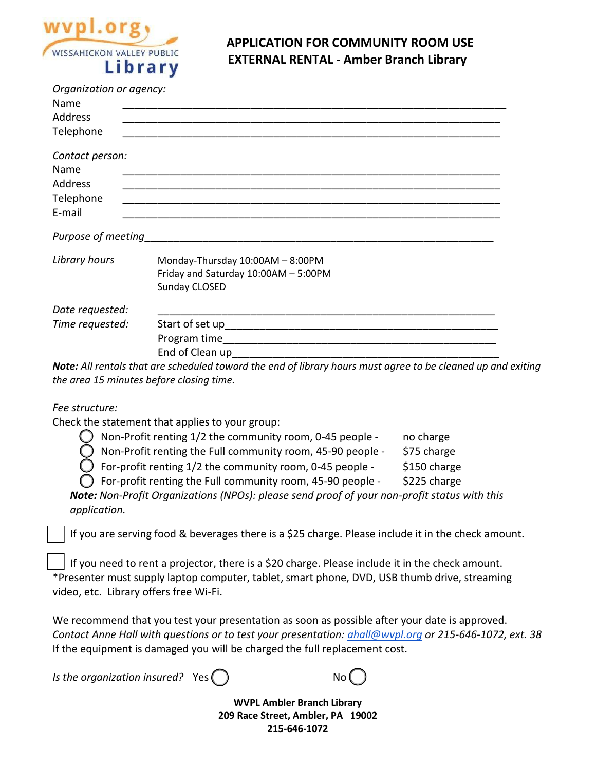

## **APPLICATION FOR COMMUNITY ROOM USE EXTERNAL RENTAL - Amber Branch Library**

| Organization or agency: |                                      |
|-------------------------|--------------------------------------|
| Name                    |                                      |
| Address                 |                                      |
| Telephone               |                                      |
| Contact person:         |                                      |
| Name                    |                                      |
| Address                 |                                      |
| Telephone               |                                      |
| E-mail                  |                                      |
| Purpose of meeting      |                                      |
| Library hours           | Monday-Thursday 10:00AM - 8:00PM     |
|                         | Friday and Saturday 10:00AM - 5:00PM |
|                         | Sunday CLOSED                        |
| Date requested:         |                                      |
| Time requested:         |                                      |
|                         |                                      |
|                         | End of Clean up                      |

*Note: All rentals that are scheduled toward the end of library hours must agree to be cleaned up and exiting the area 15 minutes before closing time.*

*Fee structure:*

Check the statement that applies to your group:

| Non-Profit renting 1/2 the community room, 0-45 people -            | no charge    |
|---------------------------------------------------------------------|--------------|
| Non-Profit renting the Full community room, 45-90 people -          | \$75 charge  |
| $\bigcirc$ For-profit renting 1/2 the community room, 0-45 people - | \$150 charge |
| For-profit renting the Full community room, 45-90 people -          | \$225 charge |

*Note: Non-Profit Organizations (NPOs): please send proof of your non-profit status with this application.*

If you are serving food & beverages there is a \$25 charge. Please include it in the check amount.

 If you need to rent a projector, there is a \$20 charge. Please include it in the check amount. \*Presenter must supply laptop computer, tablet, smart phone, DVD, USB thumb drive, streaming video, etc. Library offers free Wi-Fi.

We recommend that you test your presentation as soon as possible after your date is approved. *Contact Anne Hall with questions or to test your presentation: [ahall@wvpl.org](mailto:ahall@wvpl.org) or 215-646-1072, ext. 38* If the equipment is damaged you will be charged the full replacement cost.

*Is the organization insured?* Yes () No



**WVPL Ambler Branch Library 209 Race Street, Ambler, PA 19002 215-646-1072**